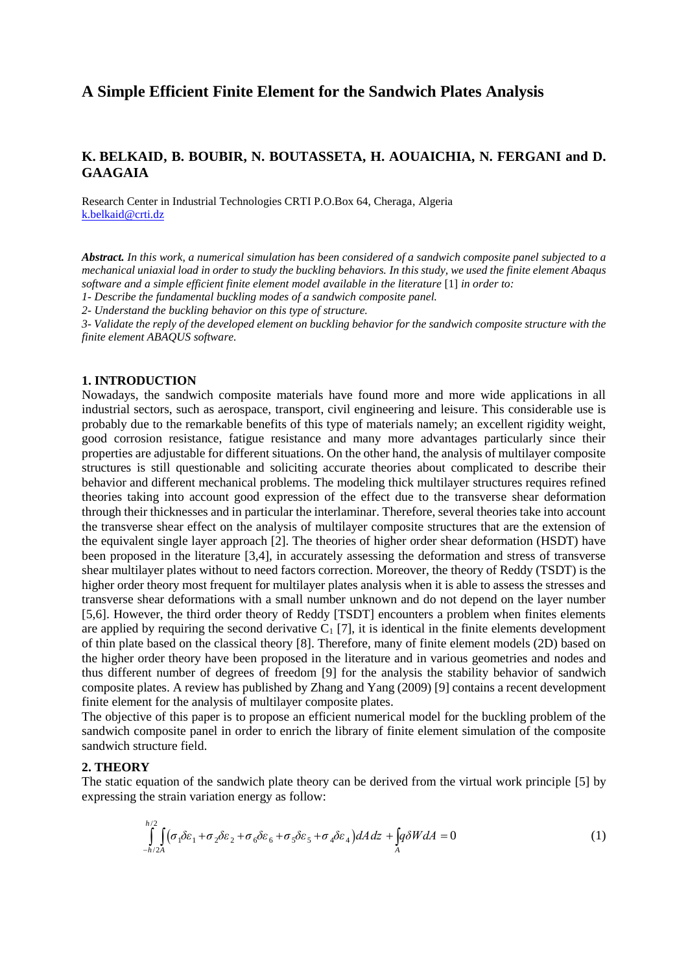# **A Simple Efficient Finite Element for the Sandwich Plates Analysis**

## **K. BELKAID, B. BOUBIR, N. BOUTASSETA, H. AOUAICHIA, N. FERGANI and D. GAAGAIA**

Research Center in Industrial Technologies CRTI P.O.Box 64, Cheraga, Algeria [k.belkaid@crti.dz](mailto:k.belkaid@crti.dz)

*Abstract. In this work, a numerical simulation has been considered of a sandwich composite panel subjected to a mechanical uniaxial load in order to study the buckling behaviors. In this study, we used the finite element Abaqus software and a simple efficient finite element model available in the literature* [1] *in order to: 1- Describe the fundamental buckling modes of a sandwich composite panel.* 

*2- Understand the buckling behavior on this type of structure.*

*3- Validate the reply of the developed element on buckling behavior for the sandwich composite structure with the finite element ABAQUS software.* 

#### **1. INTRODUCTION**

Nowadays, the sandwich composite materials have found more and more wide applications in all industrial sectors, such as aerospace, transport, civil engineering and leisure. This considerable use is probably due to the remarkable benefits of this type of materials namely; an excellent rigidity weight, good corrosion resistance, fatigue resistance and many more advantages particularly since their properties are adjustable for different situations. On the other hand, the analysis of multilayer composite structures is still questionable and soliciting accurate theories about complicated to describe their behavior and different mechanical problems. The modeling thick multilayer structures requires refined theories taking into account good expression of the effect due to the transverse shear deformation through their thicknesses and in particular the interlaminar. Therefore, several theories take into account the transverse shear effect on the analysis of multilayer composite structures that are the extension of the equivalent single layer approach [2]. The theories of higher order shear deformation (HSDT) have been proposed in the literature [3,4], in accurately assessing the deformation and stress of transverse shear multilayer plates without to need factors correction. Moreover, the theory of Reddy (TSDT) is the higher order theory most frequent for multilayer plates analysis when it is able to assess the stresses and transverse shear deformations with a small number unknown and do not depend on the layer number [5,6]. However, the third order theory of Reddy [TSDT] encounters a problem when finites elements are applied by requiring the second derivative  $C_1$  [7], it is identical in the finite elements development of thin plate based on the classical theory [8]. Therefore, many of finite element models (2D) based on the higher order theory have been proposed in the literature and in various geometries and nodes and thus different number of degrees of freedom [9] for the analysis the stability behavior of sandwich composite plates. A review has published by Zhang and Yang (2009) [9] contains a recent development finite element for the analysis of multilayer composite plates.

The objective of this paper is to propose an efficient numerical model for the buckling problem of the sandwich composite panel in order to enrich the library of finite element simulation of the composite sandwich structure field.

#### 2. THEORY

The static equation of the sandwich plate theory can be derived from the virtual work principle [5] by expressing the strain variation energy as follow:

$$
\int_{-h/2A}^{h/2} \int_{\alpha_1} (\sigma_1 \delta \varepsilon_1 + \sigma_2 \delta \varepsilon_2 + \sigma_6 \delta \varepsilon_6 + \sigma_5 \delta \varepsilon_5 + \sigma_4 \delta \varepsilon_4) dA \, dz + \int_A q \delta W dA = 0 \tag{1}
$$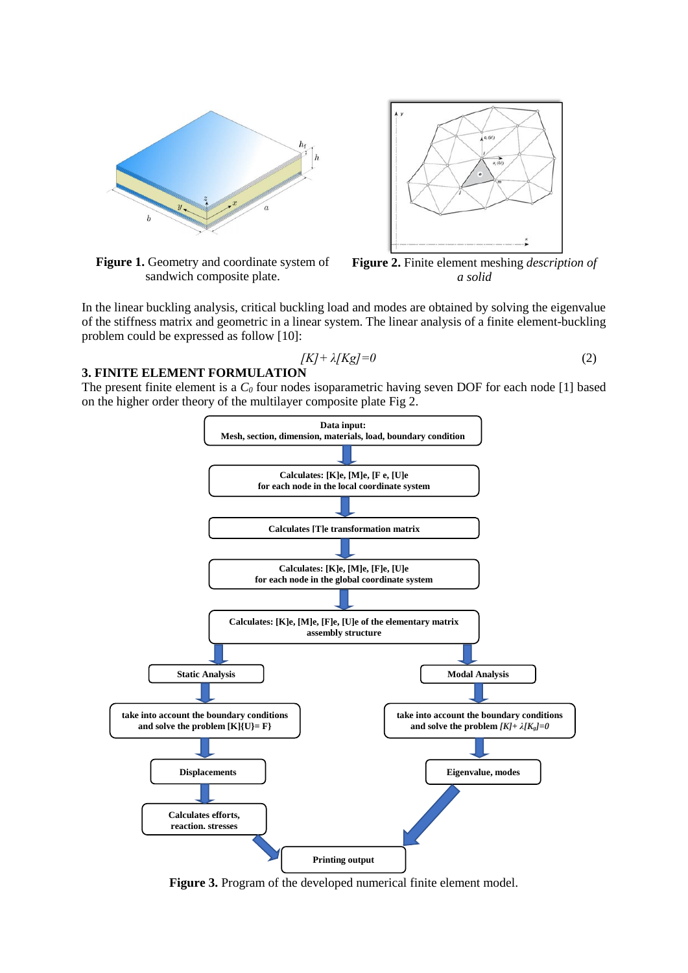

**Figure 1.** Geometry and coordinate system of sandwich composite plate.



**Figure 2.** Finite element meshing *description of a solid*

In the linear buckling analysis, critical buckling load and modes are obtained by solving the eigenvalue of the stiffness matrix and geometric in a linear system. The linear analysis of a finite element-buckling problem could be expressed as follow [10]:

$$
[K] + \lambda [Kg] = 0 \tag{2}
$$

## **3. FINITE ELEMENT FORMULATION**

The present finite element is a *C<sup>0</sup>* four nodes isoparametric having seven DOF for each node [1] based on the higher order theory of the multilayer composite plate Fig 2.



**Figure 3.** Program of the developed numerical finite element model.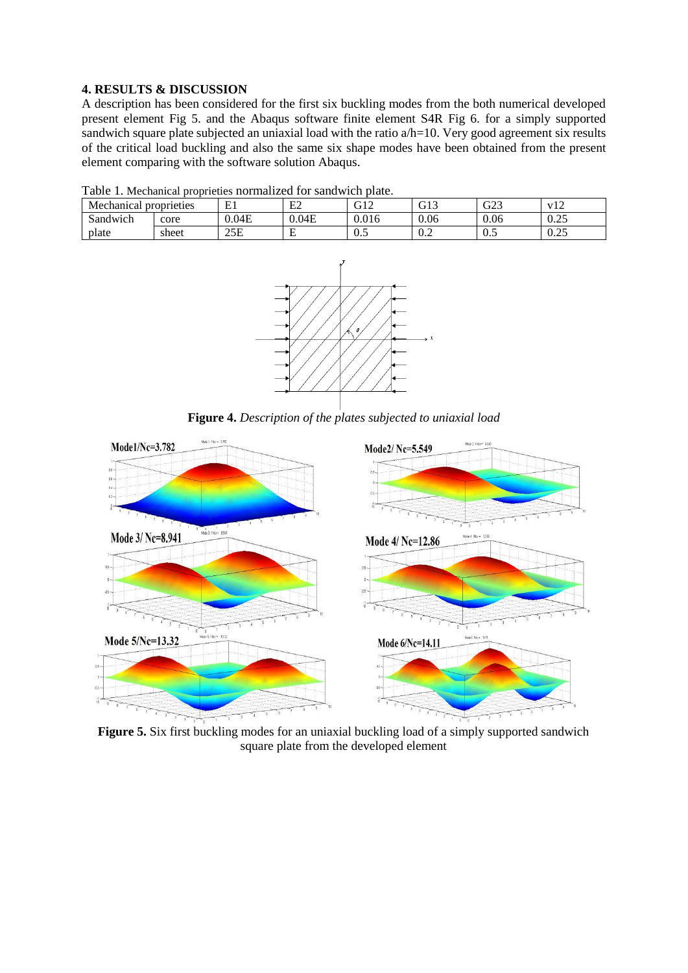# **4. RESULTS & DISCUSSION**

A description has been considered for the first six buckling modes from the both numerical developed present element Fig 5. and the Abaqus software finite element S4R Fig 6. for a simply supported sandwich square plate subjected an uniaxial load with the ratio  $a/h=10$ . Very good agreement six results of the critical load buckling and also the same six shape modes have been obtained from the present element comparing with the software solution Abaqus.

| Mechanical<br>proprieties |       | T.    | E2     | $\sim$ 1.0<br>JIZ | $\sim$ 1.2<br>UIJ | $\cap$<br>- G25 |                  |
|---------------------------|-------|-------|--------|-------------------|-------------------|-----------------|------------------|
| Sandwich                  | core  | 0.04E | 0.04E  | 0.016             | 0.06              | 0.06            | $\Omega$<br>∪.∠J |
| plate                     | sheet | 25E   | −<br>∸ | ∪.J               | $v.\mathcal{L}$   | ∪.J             | $\Omega$<br>U.ZJ |

Table 1. Mechanical proprieties normalized for sandwich plate.



**Figure 4.** *Description of the plates subjected to uniaxial load*



**Figure 5.** Six first buckling modes for an uniaxial buckling load of a simply supported sandwich square plate from the developed element